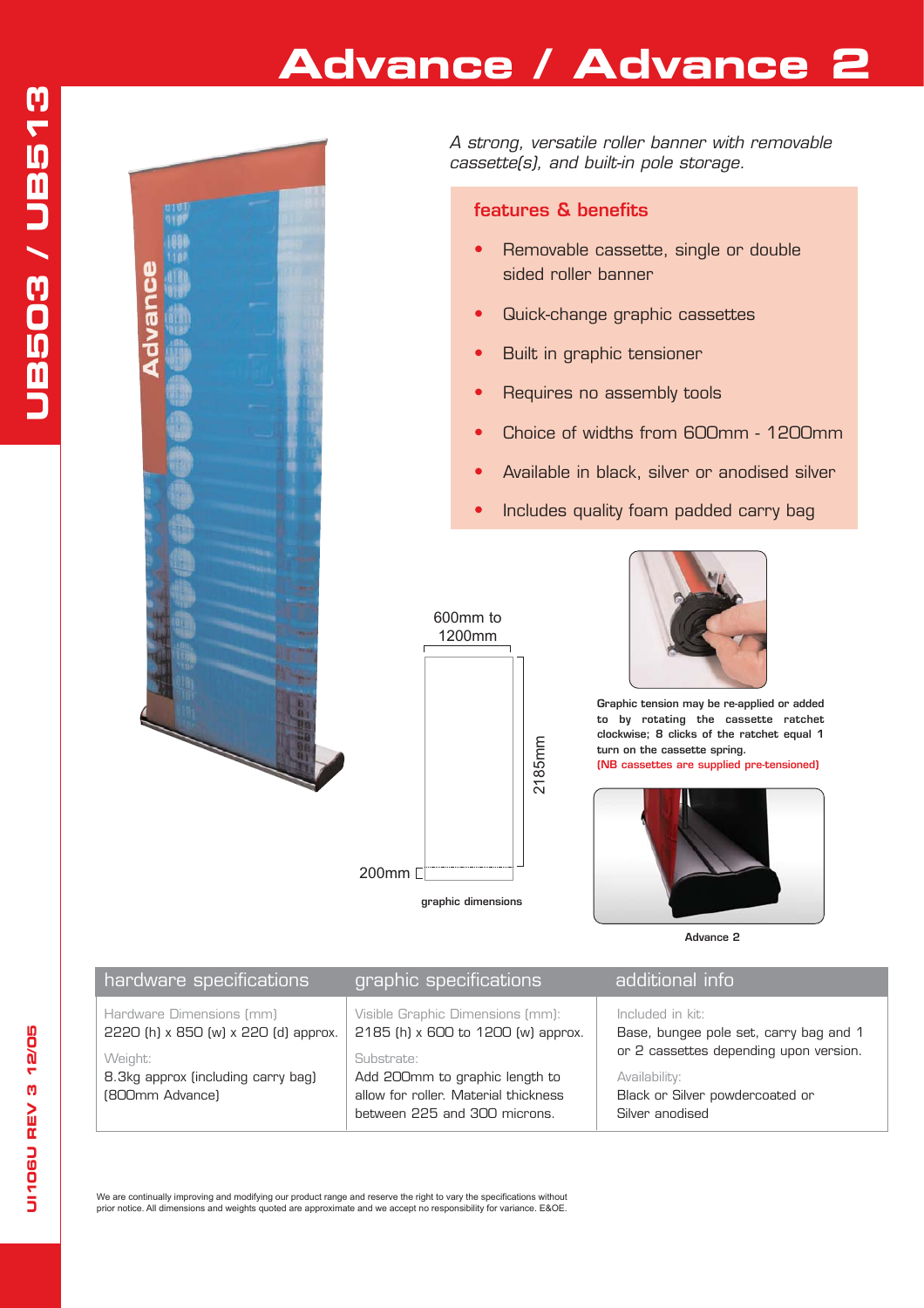## **Advance / Advance 2**



*A strong, versatile roller banner with removable cassette(s), and built-in pole storage.*

### **features & benefits**

- Removable cassette, single or double sided roller banner
- **•** Quick-change graphic cassettes
- **•** Built in graphic tensioner
- **•** Requires no assembly tools
- **•** Choice of widths from 600mm 1200mm
- **•** Available in black, silver or anodised silver
- Includes quality foam padded carry bag





**Graphic tension may be re-applied or added to by rotating the cassette ratchet clockwise; 8 clicks of the ratchet equal 1 turn on the cassette spring.**

**(NB cassettes are supplied pre-tensioned)**



**Advance 2** 

| hardware specifications                                          | graphic specifications                                                                                               | additional i <u>nfo</u>                                                                                                                                                     |
|------------------------------------------------------------------|----------------------------------------------------------------------------------------------------------------------|-----------------------------------------------------------------------------------------------------------------------------------------------------------------------------|
| Hardware Dimensions (mm)<br>2220 (h) x 850 (w) x 220 (d) approx. | Visible Graphic Dimensions (mm):<br>2185 (h) x 600 to 1200 (w) approx.                                               | Included in kit:<br>Base, bungee pole set, carry bag and 1<br>or 2 cassettes depending upon version.<br>Availability:<br>Black or Silver powdercoated or<br>Silver anodised |
| Weight:<br>8.3kg approx (including carry bag)<br>(800mm Advance) | Substrate:<br>Add 200mm to graphic length to<br>allow for roller. Material thickness<br>between 225 and 300 microns. |                                                                                                                                                                             |

We are continually improving and modifying our product range and reserve the right to vary the specifications without<br>prior notice. All dimensions and weights quoted are approximate and we accept no responsibility for vari